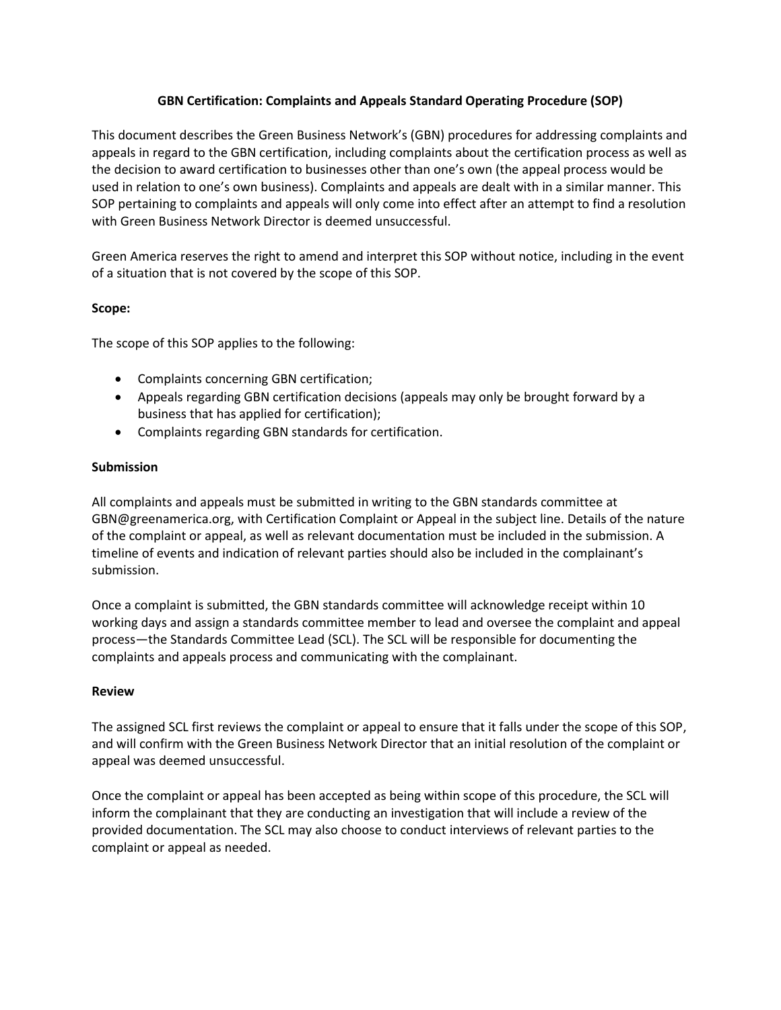# **GBN Certification: Complaints and Appeals Standard Operating Procedure (SOP)**

This document describes the Green Business Network's (GBN) procedures for addressing complaints and appeals in regard to the GBN certification, including complaints about the certification process as well as the decision to award certification to businesses other than one's own (the appeal process would be used in relation to one's own business). Complaints and appeals are dealt with in a similar manner. This SOP pertaining to complaints and appeals will only come into effect after an attempt to find a resolution with Green Business Network Director is deemed unsuccessful.

Green America reserves the right to amend and interpret this SOP without notice, including in the event of a situation that is not covered by the scope of this SOP.

# **Scope:**

The scope of this SOP applies to the following:

- Complaints concerning GBN certification;
- Appeals regarding GBN certification decisions (appeals may only be brought forward by a business that has applied for certification);
- Complaints regarding GBN standards for certification.

### **Submission**

All complaints and appeals must be submitted in writing to the GBN standards committee at GBN@greenamerica.org, with Certification Complaint or Appeal in the subject line. Details of the nature of the complaint or appeal, as well as relevant documentation must be included in the submission. A timeline of events and indication of relevant parties should also be included in the complainant's submission.

Once a complaint is submitted, the GBN standards committee will acknowledge receipt within 10 working days and assign a standards committee member to lead and oversee the complaint and appeal process—the Standards Committee Lead (SCL). The SCL will be responsible for documenting the complaints and appeals process and communicating with the complainant.

### **Review**

The assigned SCL first reviews the complaint or appeal to ensure that it falls under the scope of this SOP, and will confirm with the Green Business Network Director that an initial resolution of the complaint or appeal was deemed unsuccessful.

Once the complaint or appeal has been accepted as being within scope of this procedure, the SCL will inform the complainant that they are conducting an investigation that will include a review of the provided documentation. The SCL may also choose to conduct interviews of relevant parties to the complaint or appeal as needed.